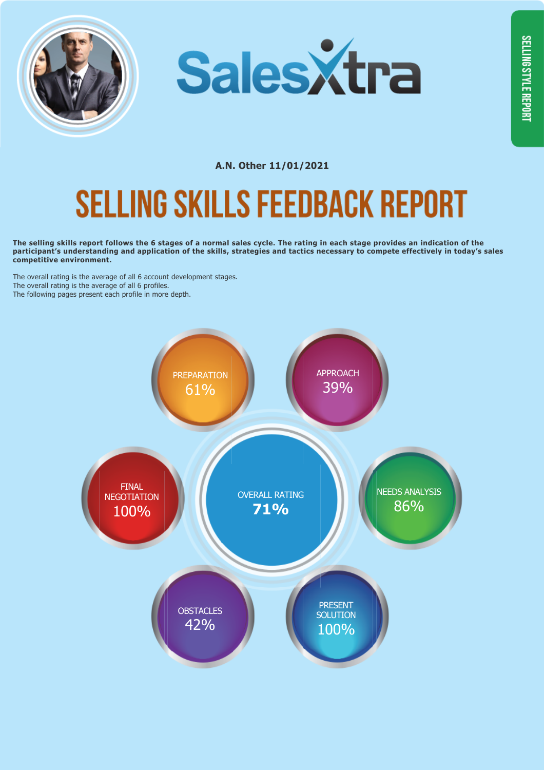



## **SELLING SKILLS FEEDBACK REPORT**

**The selling skills report follows the 6 stages of a normal sales cycle. The rating in each stage provides an indication of the participant's understanding and application of the skills, strategies and tactics necessary to compete effectively in today's sales competitive environment.**

The overall rating is the average of all 6 account development stages. The overall rating is the average of all 6 profiles. The following pages present each profile in more depth.

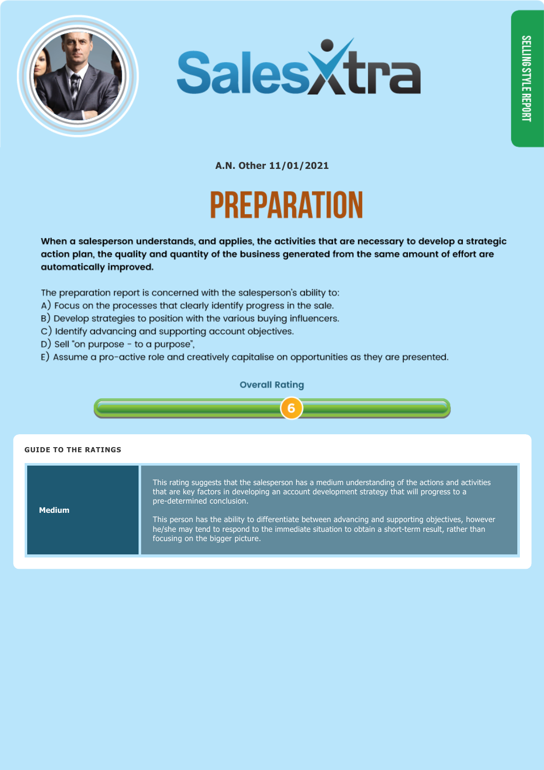



A.N. Other 11/01/2021 PREPARATION

When a salesperson understands, and applies, the activities that are necessary to develop a strategic action plan, the quality and quantity of the business generated from the same amount of effort are automatically improved.

The preparation report is concerned with the salesperson's ability to:

- A) Focus on the processes that clearly identify progress in the sale.
- B) Develop strategies to position with the various buying influencers.
- C) Identify advancing and supporting account objectives.
- D) Sell "on purpose to a purpose",
- E) Assume a pro-active role and creatively capitalise on opportunities as they are presented.

### **Overall Rating**



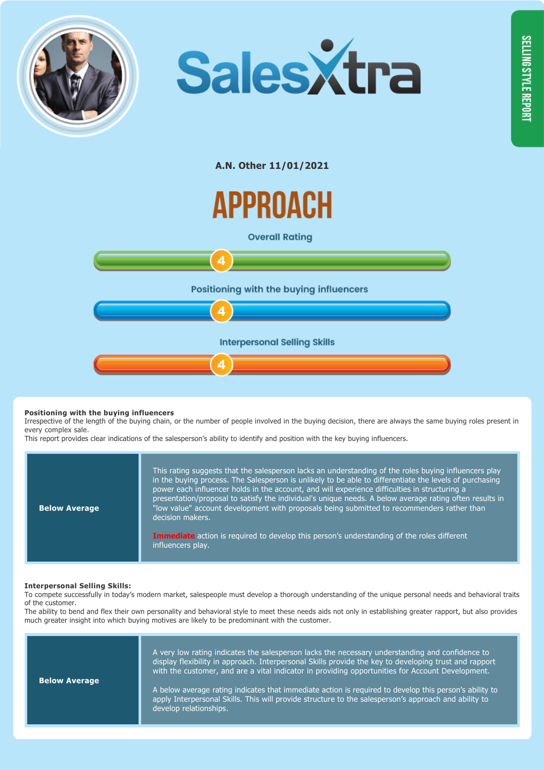



APPROACH

**Overall Ratina** 



### **Positioning with the buying influencers**

Irrespective of the length of the buying chain, or the number of people involved in the buying decision, there are always the same buying roles present in every complex sale.

This report provides clear indications of the salesperson's ability to identify and position with the key buying influencers.

| <b>Below Average</b> | This rating suggests that the salesperson lacks an understanding of the roles buying influencers play<br>in the buying process. The Salesperson is unlikely to be able to differentiate the levels of purchasing<br>power each influencer holds in the account, and will experience difficulties in structuring a<br>presentation/proposal to satisfy the individual's unique needs. A below average rating often results in<br>"low value" account development with proposals being submitted to recommenders rather than<br>decision makers. |
|----------------------|------------------------------------------------------------------------------------------------------------------------------------------------------------------------------------------------------------------------------------------------------------------------------------------------------------------------------------------------------------------------------------------------------------------------------------------------------------------------------------------------------------------------------------------------|
|                      | Immediate action is required to develop this person's understanding of the roles different<br>influencers play.                                                                                                                                                                                                                                                                                                                                                                                                                                |

#### **Interpersonal Selling Skills:**

To compete successfully in today's modern market, salespeople must develop a thorough understanding of the unique personal needs and behavioral traits of the customer.

The ability to bend and flex their own personality and behavioral style to meet these needs aids not only in establishing greater rapport, but also provides much greater insight into which buying motives are likely to be predominant with the customer.

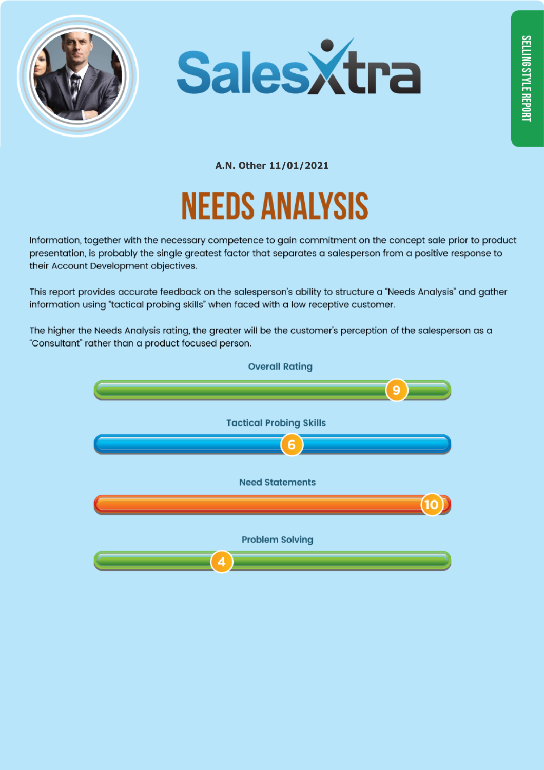



# **NEEDS ANALYSIS**

Information, together with the necessary competence to gain commitment on the concept sale prior to product presentation, is probably the single greatest factor that separates a salesperson from a positive response to their Account Development objectives.

This report provides accurate feedback on the salesperson's ability to structure a "Needs Analysis" and gather information using "tactical probing skills" when faced with a low receptive customer.

The higher the Needs Analysis rating, the greater will be the customer's perception of the salesperson as a "Consultant" rather than a product focused person.

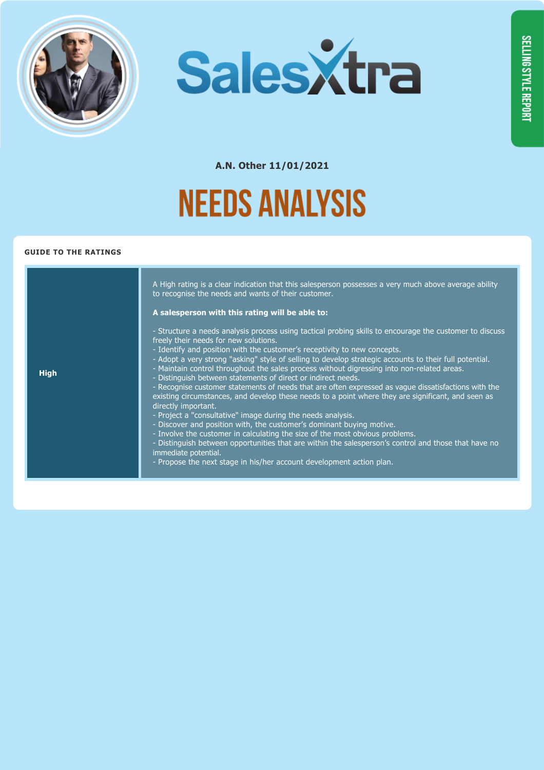



## **NEEDS ANALYSIS**

|             | A High rating is a clear indication that this salesperson possesses a very much above average ability<br>to recognise the needs and wants of their customer.<br>A salesperson with this rating will be able to:                                                                                                                                                                                                                                                                                                                                                                                                                                                                                                                                                                                                                                                                                                                                                                                                                                                                                                                                                           |
|-------------|---------------------------------------------------------------------------------------------------------------------------------------------------------------------------------------------------------------------------------------------------------------------------------------------------------------------------------------------------------------------------------------------------------------------------------------------------------------------------------------------------------------------------------------------------------------------------------------------------------------------------------------------------------------------------------------------------------------------------------------------------------------------------------------------------------------------------------------------------------------------------------------------------------------------------------------------------------------------------------------------------------------------------------------------------------------------------------------------------------------------------------------------------------------------------|
| <b>High</b> | - Structure a needs analysis process using tactical probing skills to encourage the customer to discuss<br>freely their needs for new solutions.<br>- Identify and position with the customer's receptivity to new concepts.<br>- Adopt a very strong "asking" style of selling to develop strategic accounts to their full potential.<br>- Maintain control throughout the sales process without digressing into non-related areas.<br>- Distinguish between statements of direct or indirect needs.<br>- Recognise customer statements of needs that are often expressed as vague dissatisfactions with the<br>existing circumstances, and develop these needs to a point where they are significant, and seen as<br>directly important.<br>- Project a "consultative" image during the needs analysis.<br>- Discover and position with, the customer's dominant buying motive.<br>- Involve the customer in calculating the size of the most obvious problems.<br>- Distinguish between opportunities that are within the salesperson's control and those that have no<br>immediate potential.<br>- Propose the next stage in his/her account development action plan. |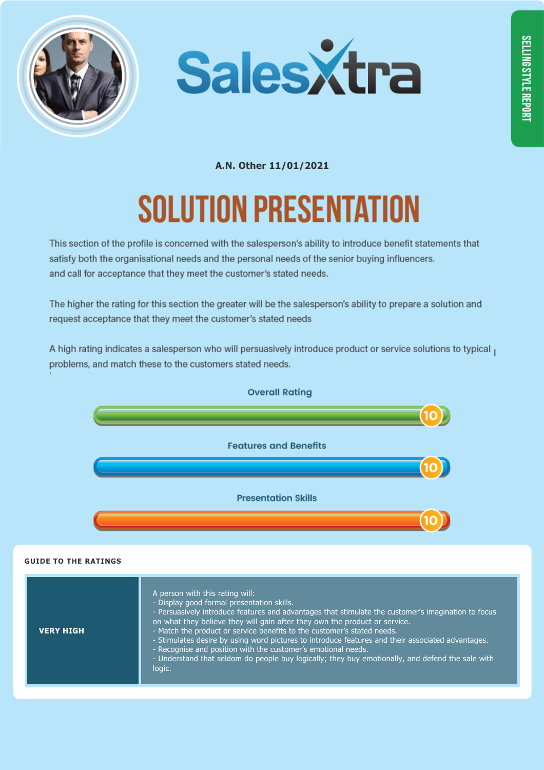



# **SOLUTION PRESENTATION**

This section of the profile is concerned with the salesperson's ability to introduce benefit statements that satisfy both the organisational needs and the personal needs of the senior buying influencers. and call for acceptance that they meet the customer's stated needs.

The higher the rating for this section the greater will be the salesperson's ability to prepare a solution and request acceptance that they meet the customer's stated needs

A high rating indicates a salesperson who will persuasively introduce product or service solutions to typical problems, and match these to the customers stated needs.



| <b>VERY HIGH</b> | A person with this rating will:<br>- Display good formal presentation skills.<br>- Persuasively introduce features and advantages that stimulate the customer's imagination to focus<br>on what they believe they will gain after they own the product or service.<br>- Match the product or service benefits to the customer's stated needs.<br>- Stimulates desire by using word pictures to introduce features and their associated advantages.<br>- Recognise and position with the customer's emotional needs.<br>- Understand that seldom do people buy logically; they buy emotionally, and defend the sale with<br>logic. |
|------------------|-----------------------------------------------------------------------------------------------------------------------------------------------------------------------------------------------------------------------------------------------------------------------------------------------------------------------------------------------------------------------------------------------------------------------------------------------------------------------------------------------------------------------------------------------------------------------------------------------------------------------------------|
|------------------|-----------------------------------------------------------------------------------------------------------------------------------------------------------------------------------------------------------------------------------------------------------------------------------------------------------------------------------------------------------------------------------------------------------------------------------------------------------------------------------------------------------------------------------------------------------------------------------------------------------------------------------|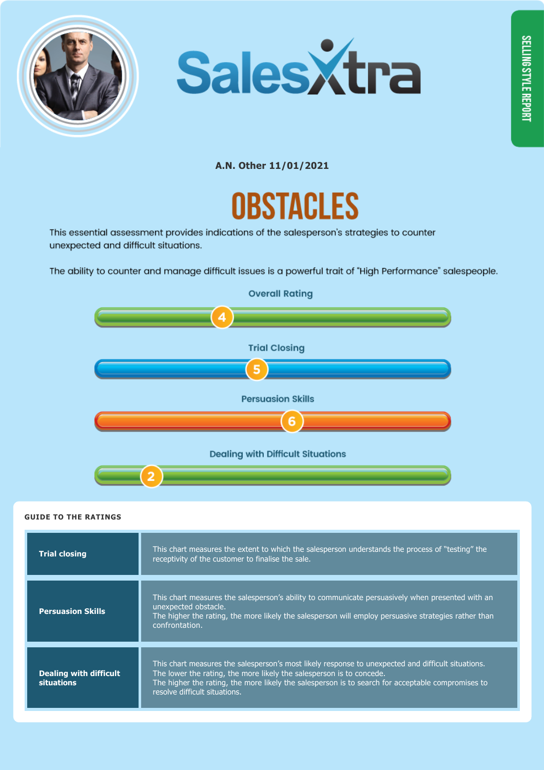





This essential assessment provides indications of the salesperson's strategies to counter unexpected and difficult situations.

The ability to counter and manage difficult issues is a powerful trait of "High Performance" salespeople.



| <b>Trial closing</b>                        | This chart measures the extent to which the salesperson understands the process of "testing" the<br>receptivity of the customer to finalise the sale.                                                                                                                                                            |
|---------------------------------------------|------------------------------------------------------------------------------------------------------------------------------------------------------------------------------------------------------------------------------------------------------------------------------------------------------------------|
| <b>Persuasion Skills</b>                    | This chart measures the salesperson's ability to communicate persuasively when presented with an<br>unexpected obstacle.<br>The higher the rating, the more likely the salesperson will employ persuasive strategies rather than<br>confrontation.                                                               |
| Dealing with difficult<br><b>situations</b> | This chart measures the salesperson's most likely response to unexpected and difficult situations.<br>The lower the rating, the more likely the salesperson is to concede.<br>The higher the rating, the more likely the salesperson is to search for acceptable compromises to<br>resolve difficult situations. |